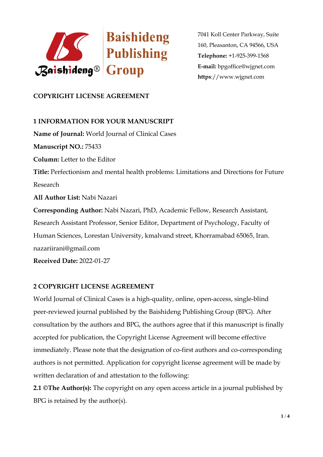

# **COPYRIGHT LICENSE AGREEMENT**

# **1 INFORMATION FOR YOUR MANUSCRIPT**

**Name of Journal:** World Journal of Clinical Cases **Manuscript NO.:** 75433 **Column:** Letter to the Editor **Title:** Perfectionism and mental health problems: Limitations and Directions for Future Research **All Author List:** Nabi Nazari **Corresponding Author:** Nabi Nazari, PhD, Academic Fellow, Research Assistant, Research Assistant Professor, Senior Editor, Department of Psychology, Faculty of Human Sciences, Lorestan University, kmalvand street, Khorramabad 65065, Iran. nazariirani@gmail.com

**Received Date:** 2022-01-27

# **2 COPYRIGHT LICENSE AGREEMENT**

World Journal of Clinical Cases is a high-quality, online, open-access, single-blind peer-reviewed journal published by the Baishideng Publishing Group (BPG). After consultation by the authors and BPG, the authors agree that if this manuscript is finally accepted for publication, the Copyright License Agreement will become effective immediately. Please note that the designation of co-first authors and co-corresponding authors is not permitted. Application for copyright license agreement will be made by written declaration of and attestation to the following:

**2.1 ©The Author(s):** The copyright on any open access article in a journal published by BPG is retained by the author(s).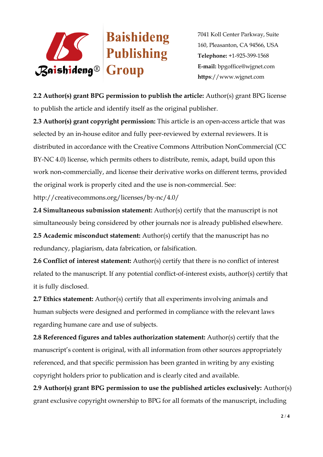

**2.2 Author(s) grant BPG permission to publish the article:** Author(s) grant BPG license to publish the article and identify itself as the original publisher.

**2.3 Author(s) grant copyright permission:** This article is an open-access article that was selected by an in-house editor and fully peer-reviewed by external reviewers. It is distributed in accordance with the Creative Commons Attribution NonCommercial (CC BY-NC 4.0) license, which permits others to distribute, remix, adapt, build upon this work non-commercially, and license their derivative works on different terms, provided the original work is properly cited and the use is non-commercial. See:

http://creativecommons.org/licenses/by-nc/4.0/

**2.4 Simultaneous submission statement:** Author(s) certify that the manuscript is not simultaneously being considered by other journals nor is already published elsewhere.

**2.5 Academic misconduct statement:** Author(s) certify that the manuscript has no redundancy, plagiarism, data fabrication, or falsification.

**2.6 Conflict of interest statement:** Author(s) certify that there is no conflict of interest related to the manuscript. If any potential conflict-of-interest exists, author(s) certify that it is fully disclosed.

**2.7 Ethics statement:** Author(s) certify that all experiments involving animals and human subjects were designed and performed in compliance with the relevant laws regarding humane care and use of subjects.

**2.8 Referenced figures and tables authorization statement:** Author(s) certify that the manuscript's content is original, with all information from other sources appropriately referenced, and that specific permission has been granted in writing by any existing copyright holders prior to publication and is clearly cited and available.

**2.9 Author(s) grant BPG permission to use the published articles exclusively:** Author(s) grant exclusive copyright ownership to BPG for all formats of the manuscript, including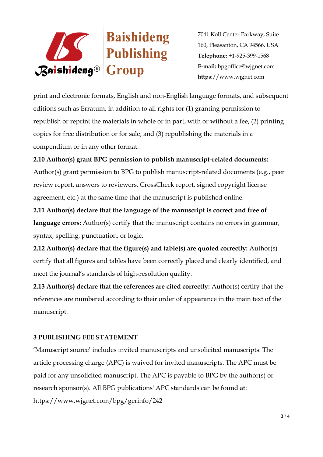

print and electronic formats, English and non-English language formats, and subsequent editions such as Erratum, in addition to all rights for (1) granting permission to republish or reprint the materials in whole or in part, with or without a fee, (2) printing copies for free distribution or for sale, and (3) republishing the materials in a compendium or in any other format.

# **2.10 Author(s) grant BPG permission to publish manuscript-related documents:**

Author(s) grant permission to BPG to publish manuscript-related documents (e.g., peer review report, answers to reviewers, CrossCheck report, signed copyright license agreement, etc.) at the same time that the manuscript is published online.

**2.11 Author(s) declare that the language of the manuscript is correct and free of language errors:** Author(s) certify that the manuscript contains no errors in grammar, syntax, spelling, punctuation, or logic.

**2.12 Author(s) declare that the figure(s) and table(s) are quoted correctly:** Author(s) certify that all figures and tables have been correctly placed and clearly identified, and meet the journal's standards of high-resolution quality.

**2.13 Author(s) declare that the references are cited correctly:** Author(s) certify that the references are numbered according to their order of appearance in the main text of the manuscript.

# **3 PUBLISHING FEE STATEMENT**

'Manuscript source' includes invited manuscripts and unsolicited manuscripts. The article processing charge (APC) is waived for invited manuscripts. The APC must be paid for any unsolicited manuscript. The APC is payable to BPG by the author(s) or research sponsor(s). All BPG publications' APC standards can be found at: https://www.wjgnet.com/bpg/gerinfo/242